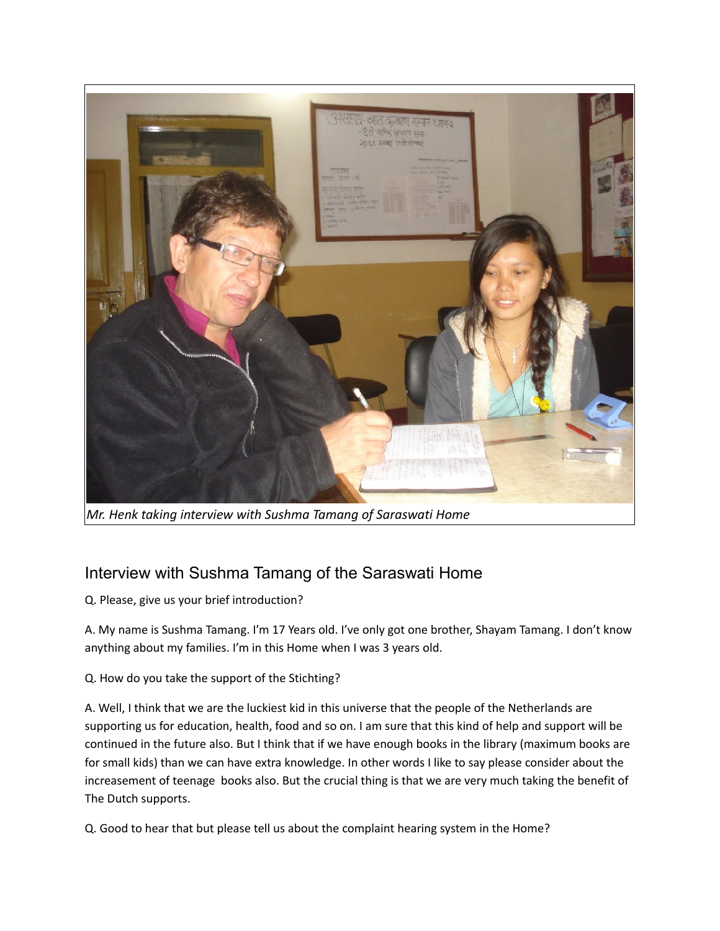

*Mr. Henk taking interview with Sushma Tamang of Saraswati Home*

## Interview with Sushma Tamang of the Saraswati Home

Q. Please, give us your brief introduction?

A. My name is Sushma Tamang. I'm 17 Years old. I've only got one brother, Shayam Tamang. I don't know anything about my families. I'm in this Home when I was 3 years old.

## Q. How do you take the support of the Stichting?

A. Well, I think that we are the luckiest kid in this universe that the people of the Netherlands are supporting us for education, health, food and so on. I am sure that this kind of help and support will be continued in the future also. But I think that if we have enough books in the library (maximum books are for small kids) than we can have extra knowledge. In other words I like to say please consider about the increasement of teenage books also. But the crucial thing is that we are very much taking the benefit of The Dutch supports.

Q. Good to hear that but please tell us about the complaint hearing system in the Home?